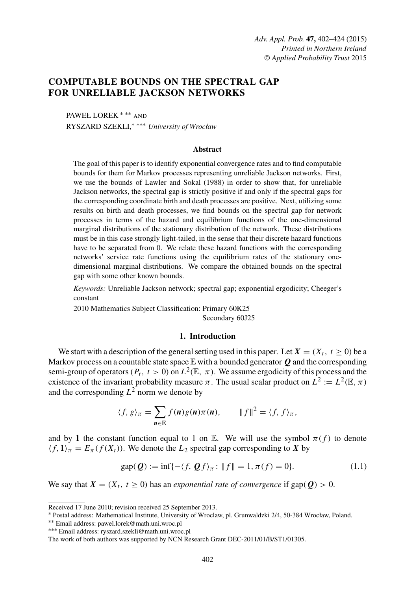# **COMPUTABLE BOUNDS ON THE SPECTRAL GAP FOR UNRELIABLE JACKSON NETWORKS**

PAWEŁ LOREK ∗ ∗∗ and RYSZARD SZEKLI,∗ ∗∗∗ *University of Wrocław*

# **Abstract**

The goal of this paper is to identify exponential convergence rates and to find computable bounds for them for Markov processes representing unreliable Jackson networks. First, we use the bounds of Lawler and Sokal (1988) in order to show that, for unreliable Jackson networks, the spectral gap is strictly positive if and only if the spectral gaps for the corresponding coordinate birth and death processes are positive. Next, utilizing some results on birth and death processes, we find bounds on the spectral gap for network processes in terms of the hazard and equilibrium functions of the one-dimensional marginal distributions of the stationary distribution of the network. These distributions must be in this case strongly light-tailed, in the sense that their discrete hazard functions have to be separated from 0. We relate these hazard functions with the corresponding networks' service rate functions using the equilibrium rates of the stationary onedimensional marginal distributions. We compare the obtained bounds on the spectral gap with some other known bounds.

*Keywords:* Unreliable Jackson network; spectral gap; exponential ergodicity; Cheeger's constant

2010 Mathematics Subject Classification: Primary 60K25 Secondary 60J25

# **1. Introduction**

We start with a description of the general setting used in this paper. Let  $X = (X_t, t \ge 0)$  be a Markov process on a countable state space  $\mathbb E$  with a bounded generator  $Q$  and the corresponding semi-group of operators ( $P_t$ ,  $t>0$ ) on  $L^2(\mathbb{E}, \pi)$ . We assume ergodicity of this process and the existence of the invariant probability measure  $\pi$ . The usual scalar product on  $L^2 := L^2(\mathbb{E}, \pi)$ and the corresponding  $L^2$  norm we denote by

$$
\langle f, g \rangle_{\pi} = \sum_{\mathbf{n} \in \mathbb{E}} f(\mathbf{n}) g(\mathbf{n}) \pi(\mathbf{n}), \qquad \|f\|^2 = \langle f, f \rangle_{\pi},
$$

and by 1 the constant function equal to 1 on E. We will use the symbol  $\pi(f)$  to denote  $\langle f,1\rangle_\pi = E_\pi(f(X_t))$ . We denote the L<sub>2</sub> spectral gap corresponding to X by

$$
gap(Q) := \inf \{ -\langle f, Qf \rangle_{\pi} : ||f|| = 1, \pi(f) = 0 \}. \tag{1.1}
$$

We say that  $X = (X_t, t > 0)$  has an *exponential rate of convergence* if gap( $Q$ ) > 0.

∗∗ Email address: pawel.lorek@math.uni.wroc.pl ∗∗∗ Email address: ryszard.szekli@math.uni.wroc.pl

Received 17 June 2010; revision received 25 September 2013.

<sup>∗</sup> Postal address: Mathematical Institute, University of Wroclaw, pl. Grunwaldzki 2/4, 50-384 Wrocław, Poland.

The work of both authors was supported by NCN Research Grant DEC-2011/01/B/ST1/01305.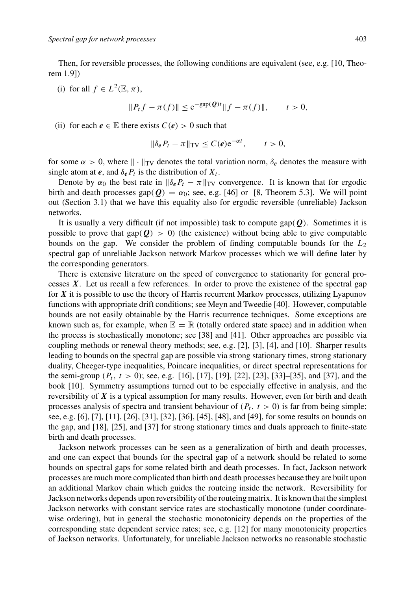Then, for reversible processes, the following conditions are equivalent (see, e.g. [10, Theorem 1.9])

(i) for all  $f \in L^2(\mathbb{E}, \pi)$ ,

$$
||P_t f - \pi(f)|| \le e^{-\text{gap}(\mathcal{Q})t} ||f - \pi(f)||, \qquad t > 0,
$$

(ii) for each  $e \in \mathbb{E}$  there exists  $C(e) > 0$  such that

$$
\|\delta_{\boldsymbol{e}} P_t - \pi\|_{\mathrm{TV}} \le C(\boldsymbol{e}) e^{-\alpha t}, \qquad t > 0,
$$

for some  $\alpha > 0$ , where  $\|\cdot\|_{TV}$  denotes the total variation norm,  $\delta_e$  denotes the measure with single atom at *e*, and  $\delta_e P_t$  is the distribution of  $X_t$ .

Denote by  $\alpha_0$  the best rate in  $\|\delta_e P_t - \pi\|_{TV}$  convergence. It is known that for ergodic birth and death processes gap( $Q$ ) =  $\alpha_0$ ; see, e.g. [46] or [8, Theorem 5.3]. We will point out (Section 3.1) that we have this equality also for ergodic reversible (unreliable) Jackson networks.

It is usually a very difficult (if not impossible) task to compute gap(*Q*). Sometimes it is possible to prove that  $\text{gap}(\mathbf{Q}) > 0$ ) (the existence) without being able to give computable bounds on the gap. We consider the problem of finding computable bounds for the  $L_2$ spectral gap of unreliable Jackson network Markov processes which we will define later by the corresponding generators.

There is extensive literature on the speed of convergence to stationarity for general processes *X*. Let us recall a few references. In order to prove the existence of the spectral gap for *X* it is possible to use the theory of Harris recurrent Markov processes, utilizing Lyapunov functions with appropriate drift conditions; see Meyn and Tweedie [40]. However, computable bounds are not easily obtainable by the Harris recurrence techniques. Some exceptions are known such as, for example, when  $\mathbb{E} = \mathbb{R}$  (totally ordered state space) and in addition when the process is stochastically monotone; see [38] and [41]. Other approaches are possible via coupling methods or renewal theory methods; see, e.g. [2], [3], [4], and [10]. Sharper results leading to bounds on the spectral gap are possible via strong stationary times, strong stationary duality, Cheeger-type inequalities, Poincare inequalities, or direct spectral representations for the semi-group  $(P_t, t> 0)$ ; see, e.g. [16], [17], [19], [22], [23], [33]–[35], and [37], and the book [10]. Symmetry assumptions turned out to be especially effective in analysis, and the reversibility of *X* is a typical assumption for many results. However, even for birth and death processes analysis of spectra and transient behaviour of  $(P_t, t> 0)$  is far from being simple; see, e.g. [6], [7], [11], [26], [31], [32], [36], [45], [48], and [49], for some results on bounds on the gap, and [18], [25], and [37] for strong stationary times and duals approach to finite-state birth and death processes.

Jackson network processes can be seen as a generalization of birth and death processes, and one can expect that bounds for the spectral gap of a network should be related to some bounds on spectral gaps for some related birth and death processes. In fact, Jackson network processes are much more complicated than birth and death processes because they are built upon an additional Markov chain which guides the routeing inside the network. Reversibility for Jackson networks depends upon reversibility of the routeing matrix. It is known that the simplest Jackson networks with constant service rates are stochastically monotone (under coordinatewise ordering), but in general the stochastic monotonicity depends on the properties of the corresponding state dependent service rates; see, e.g. [12] for many monotonicity properties of Jackson networks. Unfortunately, for unreliable Jackson networks no reasonable stochastic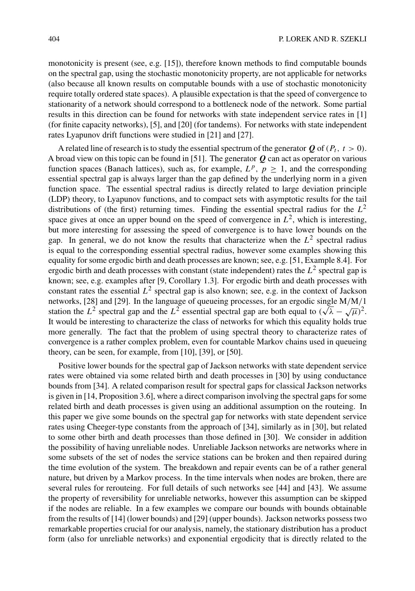monotonicity is present (see, e.g. [15]), therefore known methods to find computable bounds on the spectral gap, using the stochastic monotonicity property, are not applicable for networks (also because all known results on computable bounds with a use of stochastic monotonicity require totally ordered state spaces). A plausible expectation is that the speed of convergence to stationarity of a network should correspond to a bottleneck node of the network. Some partial results in this direction can be found for networks with state independent service rates in [1] (for finite capacity networks), [5], and [20] (for tandems). For networks with state independent rates Lyapunov drift functions were studied in [21] and [27].

A related line of research is to study the essential spectrum of the generator  $Q$  of  $(P_t, t> 0)$ . A broad view on this topic can be found in [51]. The generator *Q* can act as operator on various function spaces (Banach lattices), such as, for example,  $L^p$ ,  $p \ge 1$ , and the corresponding essential spectral gap is always larger than the gap defined by the underlying norm in a given function space. The essential spectral radius is directly related to large deviation principle (LDP) theory, to Lyapunov functions, and to compact sets with asymptotic results for the tail distributions of (the first) returning times. Finding the essential spectral radius for the  $L^2$ space gives at once an upper bound on the speed of convergence in  $L^2$ , which is interesting, but more interesting for assessing the speed of convergence is to have lower bounds on the gap. In general, we do not know the results that characterize when the  $L^2$  spectral radius is equal to the corresponding essential spectral radius, however some examples showing this equality for some ergodic birth and death processes are known; see, e.g. [51, Example 8.4]. For ergodic birth and death processes with constant (state independent) rates the  $L<sup>2</sup>$  spectral gap is known; see, e.g. examples after [9, Corollary 1.3]. For ergodic birth and death processes with constant rates the essential  $L^2$  spectral gap is also known; see, e.g. in the context of Jackson networks, [28] and [29]. In the language of queueing processes, for an ergodic single M/M/1 networks, [28] and [29]. In the language of queueing processes, for an ergodic single M/M/1 station the  $L^2$  spectral gap and the  $L^2$  essential spectral gap are both equal to  $(\sqrt{\lambda} - \sqrt{\mu})^2$ . It would be interesting to characterize the class of networks for which this equality holds true more generally. The fact that the problem of using spectral theory to characterize rates of convergence is a rather complex problem, even for countable Markov chains used in queueing theory, can be seen, for example, from [10], [39], or [50].

Positive lower bounds for the spectral gap of Jackson networks with state dependent service rates were obtained via some related birth and death processes in [30] by using conductance bounds from [34]. A related comparison result for spectral gaps for classical Jackson networks is given in [14, Proposition 3.6], where a direct comparison involving the spectral gaps for some related birth and death processes is given using an additional assumption on the routeing. In this paper we give some bounds on the spectral gap for networks with state dependent service rates using Cheeger-type constants from the approach of [34], similarly as in [30], but related to some other birth and death processes than those defined in [30]. We consider in addition the possibility of having unreliable nodes. Unreliable Jackson networks are networks where in some subsets of the set of nodes the service stations can be broken and then repaired during the time evolution of the system. The breakdown and repair events can be of a rather general nature, but driven by a Markov process. In the time intervals when nodes are broken, there are several rules for rerouteing. For full details of such networks see [44] and [43]. We assume the property of reversibility for unreliable networks, however this assumption can be skipped if the nodes are reliable. In a few examples we compare our bounds with bounds obtainable from the results of [14] (lower bounds) and [29] (upper bounds). Jackson networks possess two remarkable properties crucial for our analysis, namely, the stationary distribution has a product form (also for unreliable networks) and exponential ergodicity that is directly related to the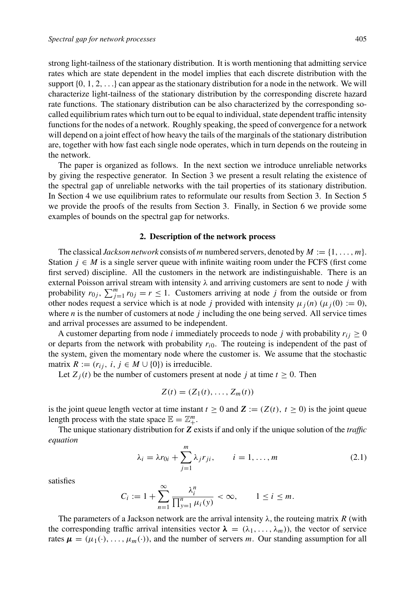strong light-tailness of the stationary distribution. It is worth mentioning that admitting service rates which are state dependent in the model implies that each discrete distribution with the support  $\{0, 1, 2, \ldots\}$  can appear as the stationary distribution for a node in the network. We will characterize light-tailness of the stationary distribution by the corresponding discrete hazard rate functions. The stationary distribution can be also characterized by the corresponding socalled equilibrium rates which turn out to be equal to individual, state dependent traffic intensity functions for the nodes of a network. Roughly speaking, the speed of convergence for a network will depend on a joint effect of how heavy the tails of the marginals of the stationary distribution are, together with how fast each single node operates, which in turn depends on the routeing in the network.

The paper is organized as follows. In the next section we introduce unreliable networks by giving the respective generator. In Section 3 we present a result relating the existence of the spectral gap of unreliable networks with the tail properties of its stationary distribution. In Section 4 we use equilibrium rates to reformulate our results from Section 3. In Section 5 we provide the proofs of the results from Section 3. Finally, in Section 6 we provide some examples of bounds on the spectral gap for networks.

## **2. Description of the network process**

The classical *Jackson network* consists of m numbered servers, denoted by  $M := \{1, \ldots, m\}$ . Station  $j \in M$  is a single server queue with infinite waiting room under the FCFS (first come first served) discipline. All the customers in the network are indistinguishable. There is an external Poisson arrival stream with intensity  $\lambda$  and arriving customers are sent to node j with probability  $r_{0j}$ ,  $\sum_{j=1}^{m} r_{0j} = r \le 1$ . Customers arriving at node j from the outside or from other nodes request a service which is at node j provided with intensity  $\mu_i(n)$  ( $\mu_i(0) := 0$ ), where  $n$  is the number of customers at node  $j$  including the one being served. All service times and arrival processes are assumed to be independent.

A customer departing from node *i* immediately proceeds to node *j* with probability  $r_{ii} \ge 0$ or departs from the network with probability  $r_{i0}$ . The routeing is independent of the past of the system, given the momentary node where the customer is. We assume that the stochastic matrix  $R := (r_{ij}, i, j \in M \cup \{0\})$  is irreducible.

Let  $Z_i(t)$  be the number of customers present at node j at time  $t \ge 0$ . Then

$$
Z(t) = (Z_1(t), \ldots, Z_m(t))
$$

is the joint queue length vector at time instant  $t \ge 0$  and  $\mathbf{Z} := (Z(t), t \ge 0)$  is the joint queue length process with the state space  $\mathbb{E} = \mathbb{Z}_+^m$ .

The unique stationary distribution for *Z* exists if and only if the unique solution of the *traffic equation*

$$
\lambda_i = \lambda r_{0i} + \sum_{j=1}^m \lambda_j r_{ji}, \qquad i = 1, \dots, m
$$
 (2.1)

satisfies

$$
C_i := 1 + \sum_{n=1}^{\infty} \frac{\lambda_i^n}{\prod_{y=1}^n \mu_i(y)} < \infty, \qquad 1 \le i \le m.
$$

The parameters of a Jackson network are the arrival intensity  $\lambda$ , the routeing matrix R (with the corresponding traffic arrival intensities vector  $\lambda = (\lambda_1, \dots, \lambda_m)$ , the vector of service rates  $\mu = (\mu_1(\cdot), \dots, \mu_m(\cdot))$ , and the number of servers m. Our standing assumption for all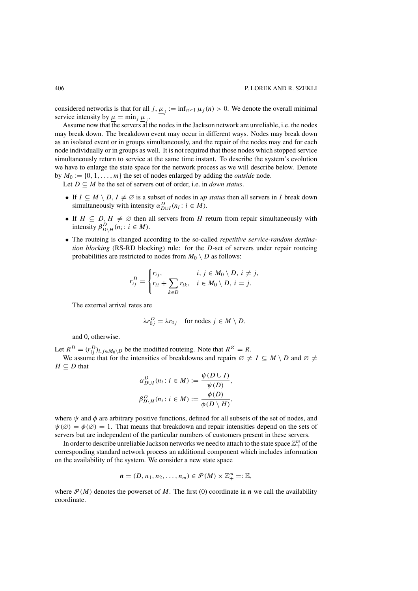considered networks is that for all j,  $\underline{\mu}_j := \inf_{n \geq 1} \mu_j(n) > 0$ . We denote the overall minimal service intensity by  $\mu = \min_j \mu_j$ .

Assume now that the servers at the nodes in the Jackson network are unreliable, i.e. the nodes may break down. The breakdown event may occur in different ways. Nodes may break down as an isolated event or in groups simultaneously, and the repair of the nodes may end for each node individually or in groups as well. It is not required that those nodes which stopped service simultaneously return to service at the same time instant. To describe the system's evolution we have to enlarge the state space for the network process as we will describe below. Denote by  $M_0 := \{0, 1, \ldots, m\}$  the set of nodes enlarged by adding the *outside* node.

Let  $D \subseteq M$  be the set of servers out of order, i.e. in *down status*.

- If  $I \subseteq M \setminus D$ ,  $I \neq \emptyset$  is a subset of nodes in *up status* then all servers in *I* break down simultaneously with intensity  $\alpha_{D\cup I}^D(n_i : i \in M)$ .
- If  $H \subseteq D, H \neq \emptyset$  then all servers from H return from repair simultaneously with intensity  $\beta_{D\setminus H}^D(n_i : i \in M)$ .
- The routeing is changed according to the so-called *repetitive service-random destination blocking* (RS-RD blocking) rule: for the D-set of servers under repair routeing probabilities are restricted to nodes from  $M_0 \setminus D$  as follows:

$$
r_{ij}^D = \begin{cases} r_{ij}, & i, j \in M_0 \setminus D, i \neq j, \\ r_{ii} + \sum_{k \in D} r_{ik}, & i \in M_0 \setminus D, i = j. \end{cases}
$$

The external arrival rates are

$$
\lambda r_{0j}^D = \lambda r_{0j} \quad \text{for nodes } j \in M \setminus D,
$$

and 0, otherwise.

Let  $R^D = (r_{ij}^D)_{i,j \in M_0 \setminus D}$  be the modified routeing. Note that  $R^\emptyset = R$ .

We assume that for the intensities of breakdowns and repairs  $\emptyset \neq I \subseteq M \setminus D$  and  $\emptyset \neq$  $H \subseteq D$  that

$$
\alpha_{D\cup I}^D(n_i : i \in M) := \frac{\psi(D \cup I)}{\psi(D)},
$$
  

$$
\beta_{D\setminus H}^D(n_i : i \in M) := \frac{\phi(D)}{\phi(D \setminus H)},
$$

where  $\psi$  and  $\phi$  are arbitrary positive functions, defined for all subsets of the set of nodes, and  $\psi(\emptyset) = \phi(\emptyset) = 1$ . That means that breakdown and repair intensities depend on the sets of servers but are independent of the particular numbers of customers present in these servers.

In order to describe unreliable Jackson networks we need to attach to the state space  $\mathbb{Z}_+^m$  of the corresponding standard network process an additional component which includes information on the availability of the system. We consider a new state space

$$
\mathbf{n}=(D,n_1,n_2,\ldots,n_m)\in\mathcal{P}(M)\times\mathbb{Z}_+^m=:\mathbb{E},
$$

where  $\mathcal{P}(M)$  denotes the powerset of M. The first (0) coordinate in  $\boldsymbol{n}$  we call the availability coordinate.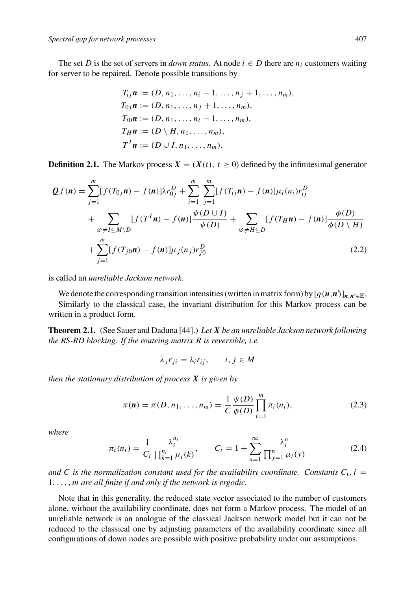The set D is the set of servers in *down status*. At node  $i \in D$  there are  $n_i$  customers waiting for server to be repaired. Denote possible transitions by

$$
T_{ij}\mathbf{n} := (D, n_1, \dots, n_i - 1, \dots, n_j + 1, \dots, n_m),
$$
  
\n
$$
T_{0j}\mathbf{n} := (D, n_1, \dots, n_j + 1, \dots, n_m),
$$
  
\n
$$
T_{i0}\mathbf{n} := (D, n_1, \dots, n_i - 1, \dots, n_m),
$$
  
\n
$$
T_H\mathbf{n} := (D \setminus H, n_1, \dots, n_m),
$$
  
\n
$$
T^I\mathbf{n} := (D \cup I, n_1, \dots, n_m).
$$

**Definition 2.1.** The Markov process  $X = (X(t), t \ge 0)$  defined by the infinitesimal generator

$$
Qf(n) = \sum_{j=1}^{m} [f(T_{0j}n) - f(n)]\lambda r_{0j}^{D} + \sum_{i=1}^{m} \sum_{j=1}^{m} [f(T_{ij}n) - f(n)]\mu_{i}(n_{i})r_{ij}^{D} + \sum_{\emptyset \neq I \subseteq M \setminus D} [f(T^{I}n) - f(n)] \frac{\psi(D \cup I)}{\psi(D)} + \sum_{\emptyset \neq H \subseteq D} [f(T_{H}n) - f(n)] \frac{\phi(D)}{\phi(D \setminus H)} + \sum_{j=1}^{m} [f(T_{j0}n) - f(n)]\mu_{j}(n_{j})r_{j0}^{D}
$$
\n(2.2)

is called an *unreliable Jackson network*.

We denote the corresponding transition intensities (written in matrix form) by  $[q(n,n')]_{n,n' \in \mathbb{E}}$ .

Similarly to the classical case, the invariant distribution for this Markov process can be written in a product form.

**Theorem 2.1.** (See Sauer and Daduna [44].) *Let X be an unreliable Jackson network following the RS-RD blocking. If the routeing matrix* R *is reversible, i.e.*

$$
\lambda_j r_{ji} = \lambda_i r_{ij}, \qquad i, j \in M
$$

*then the stationary distribution of process X is given by*

$$
\pi(\mathbf{n}) = \pi(D, n_1, \dots, n_m) = \frac{1}{C} \frac{\psi(D)}{\phi(D)} \prod_{i=1}^m \pi_i(n_i),
$$
\n(2.3)

*where*

$$
\pi_i(n_i) = \frac{1}{C_i} \frac{\lambda_i^{n_i}}{\prod_{k=1}^{n_i} \mu_i(k)}, \qquad C_i = 1 + \sum_{n=1}^{\infty} \frac{\lambda_i^n}{\prod_{y=1}^{n} \mu_i(y)}
$$
(2.4)

and C is the normalization constant used for the availability coordinate. Constants  $C_i$ ,  $i =$ 1,...,m *are all finite if and only if the network is ergodic.*

Note that in this generality, the reduced state vector associated to the number of customers alone, without the availability coordinate, does not form a Markov process. The model of an unreliable network is an analogue of the classical Jackson network model but it can not be reduced to the classical one by adjusting parameters of the availability coordinate since all configurations of down nodes are possible with positive probability under our assumptions.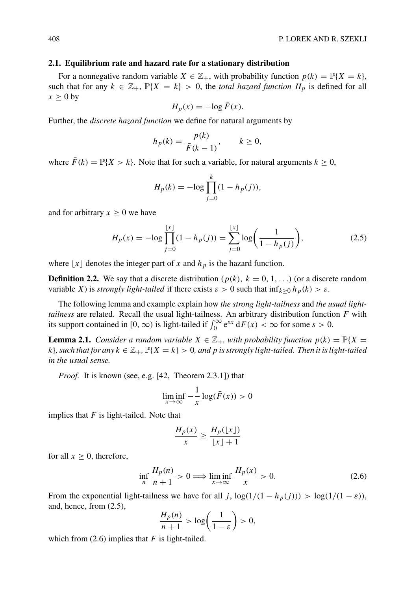### **2.1. Equilibrium rate and hazard rate for a stationary distribution**

For a nonnegative random variable  $X \in \mathbb{Z}_+$ , with probability function  $p(k) = \mathbb{P}\{X = k\}$ , such that for any  $k \in \mathbb{Z}_+$ ,  $\mathbb{P}\{X = k\} > 0$ , the *total hazard function*  $H_p$  is defined for all  $x \geq 0$  by

$$
H_p(x) = -\log \bar{F}(x).
$$

Further, the *discrete hazard function* we define for natural arguments by

$$
h_p(k) = \frac{p(k)}{\bar{F}(k-1)}, \qquad k \ge 0,
$$

where  $\bar{F}(k) = \mathbb{P}\{X > k\}$ . Note that for such a variable, for natural arguments  $k \geq 0$ ,

$$
H_p(k) = -\log \prod_{j=0}^{k} (1 - h_p(j)),
$$

and for arbitrary  $x \geq 0$  we have

$$
H_p(x) = -\log \prod_{j=0}^{\lfloor x \rfloor} (1 - h_p(j)) = \sum_{j=0}^{\lfloor x \rfloor} \log \bigg( \frac{1}{1 - h_p(j)} \bigg),\tag{2.5}
$$

where  $\lfloor x \rfloor$  denotes the integer part of x and  $h_p$  is the hazard function.

**Definition 2.2.** We say that a discrete distribution ( $p(k)$ ,  $k = 0, 1, ...$ ) (or a discrete random variable X) is *strongly light-tailed* if there exists  $\varepsilon > 0$  such that  $\inf_{k \geq 0} h_p(k) > \varepsilon$ .

The following lemma and example explain how *the strong light-tailness* and *the usual lighttailness* are related. Recall the usual light-tailness. An arbitrary distribution function F with its support contained in [0,  $\infty$ ) is light-tailed if  $\int_0^\infty e^{sx} dF(x) < \infty$  for some  $s > 0$ .

**Lemma 2.1.** *Consider a random variable*  $X \in \mathbb{Z}_+$ *, with probability function*  $p(k) = \mathbb{P}{X}$ k}, such that for any  $k \in \mathbb{Z}_+$ ,  $\mathbb{P}\{X = k\} > 0$ , and p is strongly light-tailed. Then it is light-tailed *in the usual sense.*

*Proof.* It is known (see, e.g. [42, Theorem 2.3.1]) that

$$
\liminf_{x \to \infty} -\frac{1}{x} \log(\bar{F}(x)) > 0
$$

implies that  $F$  is light-tailed. Note that

$$
\frac{H_p(x)}{x} \ge \frac{H_p(\lfloor x \rfloor)}{\lfloor x \rfloor + 1}
$$

for all  $x \geq 0$ , therefore,

$$
\inf_{n} \frac{H_p(n)}{n+1} > 0 \Longrightarrow \liminf_{x \to \infty} \frac{H_p(x)}{x} > 0. \tag{2.6}
$$

From the exponential light-tailness we have for all j,  $\log(1/(1 - h_p(j))) > \log(1/(1 - \varepsilon))$ , and, hence, from (2.5),

$$
\frac{H_p(n)}{n+1} > \log\left(\frac{1}{1-\varepsilon}\right) > 0,
$$

which from  $(2.6)$  implies that F is light-tailed.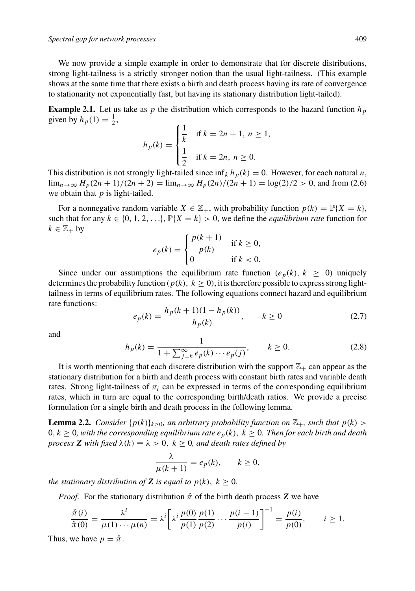We now provide a simple example in order to demonstrate that for discrete distributions, strong light-tailness is a strictly stronger notion than the usual light-tailness. (This example shows at the same time that there exists a birth and death process having its rate of convergence to stationarity not exponentially fast, but having its stationary distribution light-tailed).

**Example 2.1.** Let us take as p the distribution which corresponds to the hazard function  $h_p$ given by  $h_p(1) = \frac{1}{2}$ ,

$$
h_p(k) = \begin{cases} \frac{1}{k} & \text{if } k = 2n + 1, \ n \ge 1, \\ \frac{1}{2} & \text{if } k = 2n, \ n \ge 0. \end{cases}
$$

This distribution is not strongly light-tailed since  $\inf_k h_p(k) = 0$ . However, for each natural *n*,  $\lim_{n\to\infty} H_p(2n+1)/(2n+2) = \lim_{n\to\infty} H_p(2n)/(2n+1) = \log(2)/2 > 0$ , and from (2.6) we obtain that  $p$  is light-tailed.

For a nonnegative random variable  $X \in \mathbb{Z}_+$ , with probability function  $p(k) = \mathbb{P}\{X = k\}$ , such that for any  $k \in \{0, 1, 2, \ldots\}$ ,  $\mathbb{P}\{X = k\} > 0$ , we define the *equilibrium rate* function for  $k \in \mathbb{Z}_+$  by

$$
e_p(k) = \begin{cases} \frac{p(k+1)}{p(k)} & \text{if } k \ge 0, \\ 0 & \text{if } k < 0. \end{cases}
$$

Since under our assumptions the equilibrium rate function ( $e_p(k)$ ,  $k \geq 0$ ) uniquely determines the probability function ( $p(k)$ ,  $k \ge 0$ ), it is therefore possible to express strong lighttailness in terms of equilibrium rates. The following equations connect hazard and equilibrium rate functions:

$$
e_p(k) = \frac{h_p(k+1)(1-h_p(k))}{h_p(k)}, \qquad k \ge 0
$$
\n(2.7)

and

$$
h_p(k) = \frac{1}{1 + \sum_{j=k}^{\infty} e_p(k) \cdots e_p(j)}, \qquad k \ge 0.
$$
 (2.8)

It is worth mentioning that each discrete distribution with the support  $\mathbb{Z}_+$  can appear as the stationary distribution for a birth and death process with constant birth rates and variable death rates. Strong light-tailness of  $\pi_i$  can be expressed in terms of the corresponding equilibrium rates, which in turn are equal to the corresponding birth/death ratios. We provide a precise formulation for a single birth and death process in the following lemma.

**Lemma 2.2.** *Consider*  $\{p(k)\}_{k\geq0}$ *, an arbitrary probability function on*  $\mathbb{Z}_+$ *, such that*  $p(k)$  >  $0, k \geq 0$ , with the corresponding equilibrium rate  $e_p(k)$ ,  $k \geq 0$ . Then for each birth and death *process* **Z** *with fixed*  $\lambda(k) \equiv \lambda > 0$ ,  $k \geq 0$ , and death rates defined by

$$
\frac{\lambda}{\mu(k+1)} = e_p(k), \qquad k \ge 0,
$$

*the stationary distribution of Z <i>is equal to*  $p(k)$ *,*  $k \ge 0$ *.* 

*Proof.* For the stationary distribution  $\check{\pi}$  of the birth death process **Z** we have

$$
\frac{\check{\pi}(i)}{\check{\pi}(0)} = \frac{\lambda^i}{\mu(1)\cdots\mu(n)} = \lambda^i \left[ \lambda^i \frac{p(0)}{p(1)} \frac{p(1)}{p(2)} \cdots \frac{p(i-1)}{p(i)} \right]^{-1} = \frac{p(i)}{p(0)}, \qquad i \ge 1.
$$

Thus, we have  $p = \check{\pi}$ .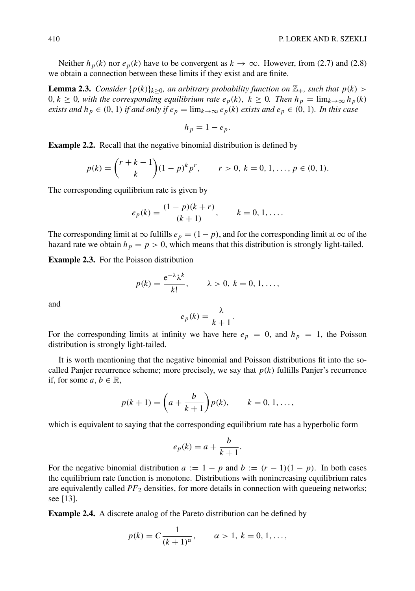Neither  $h_p(k)$  nor  $e_p(k)$  have to be convergent as  $k \to \infty$ . However, from (2.7) and (2.8) we obtain a connection between these limits if they exist and are finite.

**Lemma 2.3.** *Consider*  $\{p(k)\}_{k>0}$ *, an arbitrary probability function on*  $\mathbb{Z}_+$ *, such that*  $p(k)$  $0, k \geq 0$ , with the corresponding equilibrium rate  $e_p(k)$ ,  $k \geq 0$ . Then  $h_p = \lim_{k \to \infty} h_p(k)$ *exists and*  $h_p \in (0, 1)$  *if and only if*  $e_p = \lim_{k \to \infty} e_p(k)$  *exists and*  $e_p \in (0, 1)$ *. In this case* 

$$
h_p = 1 - e_p.
$$

**Example 2.2.** Recall that the negative binomial distribution is defined by

$$
p(k) = {r+k-1 \choose k} (1-p)^k p^r, \qquad r > 0, k = 0, 1, ..., p \in (0, 1).
$$

The corresponding equilibrium rate is given by

$$
e_p(k) = \frac{(1-p)(k+r)}{(k+1)}, \qquad k = 0, 1, \dots.
$$

The corresponding limit at  $\infty$  fulfills  $e_p = (1-p)$ , and for the corresponding limit at  $\infty$  of the hazard rate we obtain  $h_p = p > 0$ , which means that this distribution is strongly light-tailed.

**Example 2.3.** For the Poisson distribution

$$
p(k) = \frac{e^{-\lambda} \lambda^k}{k!}, \qquad \lambda > 0, k = 0, 1, \dots,
$$

and

$$
e_p(k) = \frac{\lambda}{k+1}.
$$

For the corresponding limits at infinity we have here  $e_p = 0$ , and  $h_p = 1$ , the Poisson distribution is strongly light-tailed.

It is worth mentioning that the negative binomial and Poisson distributions fit into the socalled Panjer recurrence scheme; more precisely, we say that  $p(k)$  fulfills Panjer's recurrence if, for some  $a, b \in \mathbb{R}$ ,

$$
p(k + 1) = \left(a + \frac{b}{k + 1}\right)p(k), \qquad k = 0, 1, ...,
$$

which is equivalent to saying that the corresponding equilibrium rate has a hyperbolic form

$$
e_p(k) = a + \frac{b}{k+1}.
$$

For the negative binomial distribution  $a := 1 - p$  and  $b := (r - 1)(1 - p)$ . In both cases the equilibrium rate function is monotone. Distributions with nonincreasing equilibrium rates are equivalently called  $PF_2$  densities, for more details in connection with queueing networks; see [13].

**Example 2.4.** A discrete analog of the Pareto distribution can be defined by

$$
p(k) = C \frac{1}{(k+1)^{\alpha}}, \qquad \alpha > 1, \ k = 0, 1, \ldots,
$$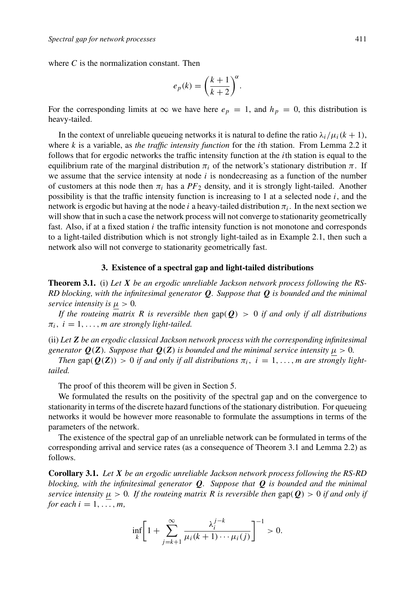where  $C$  is the normalization constant. Then

$$
e_p(k) = \left(\frac{k+1}{k+2}\right)^{\alpha}.
$$

For the corresponding limits at  $\infty$  we have here  $e_p = 1$ , and  $h_p = 0$ , this distribution is heavy-tailed.

In the context of unreliable queueing networks it is natural to define the ratio  $\lambda_i/\mu_i(k+1)$ , where k is a variable, as *the traffic intensity function* for the ith station. From Lemma 2.2 it follows that for ergodic networks the traffic intensity function at the *i*th station is equal to the equilibrium rate of the marginal distribution  $\pi_i$  of the network's stationary distribution  $\pi$ . If we assume that the service intensity at node  $i$  is nondecreasing as a function of the number of customers at this node then  $\pi_i$  has a  $PF_2$  density, and it is strongly light-tailed. Another possibility is that the traffic intensity function is increasing to 1 at a selected node  $i$ , and the network is ergodic but having at the node i a heavy-tailed distribution  $\pi_i$ . In the next section we will show that in such a case the network process will not converge to stationarity geometrically fast. Also, if at a fixed station  $i$  the traffic intensity function is not monotone and corresponds to a light-tailed distribution which is not strongly light-tailed as in Example 2.1, then such a network also will not converge to stationarity geometrically fast.

### **3. Existence of a spectral gap and light-tailed distributions**

**Theorem 3.1.** (i) *Let X be an ergodic unreliable Jackson network process following the RS-RD blocking, with the infinitesimal generator Q. Suppose that Q is bounded and the minimal service intensity is*  $\mu > 0$ *.* 

*If the routeing matrix R is reversible then*  $\text{gap}(\mathbf{Q}) > 0$  *if and only if all distributions*  $\pi_i$ ,  $i = 1, \ldots, m$  are strongly light-tailed.

(ii) *Let Z be an ergodic classical Jackson network process with the corresponding infinitesimal generator*  $Q(Z)$ *. Suppose that*  $Q(Z)$  *is bounded and the minimal service intensity*  $\mu > 0$ *.* 

*Then* gap( $Q(Z)$ ) > 0 *if and only if all distributions*  $\pi_i$ ,  $i = 1, \ldots, m$  *are strongly lighttailed.*

The proof of this theorem will be given in Section 5.

We formulated the results on the positivity of the spectral gap and on the convergence to stationarity in terms of the discrete hazard functions of the stationary distribution. For queueing networks it would be however more reasonable to formulate the assumptions in terms of the parameters of the network.

The existence of the spectral gap of an unreliable network can be formulated in terms of the corresponding arrival and service rates (as a consequence of Theorem 3.1 and Lemma 2.2) as follows.

**Corollary 3.1.** *Let X be an ergodic unreliable Jackson network process following the RS-RD blocking, with the infinitesimal generator Q. Suppose that Q is bounded and the minimal service intensity*  $\mu > 0$ *. If the routeing matrix R is reversible then* gap( $Q$ ) > 0 *if and only if for each*  $i = 1, \ldots, m$ ,

$$
\inf_{k}\left[1+\sum_{j=k+1}^{\infty}\frac{\lambda_i^{j-k}}{\mu_i(k+1)\cdots\mu_i(j)}\right]^{-1}>0.
$$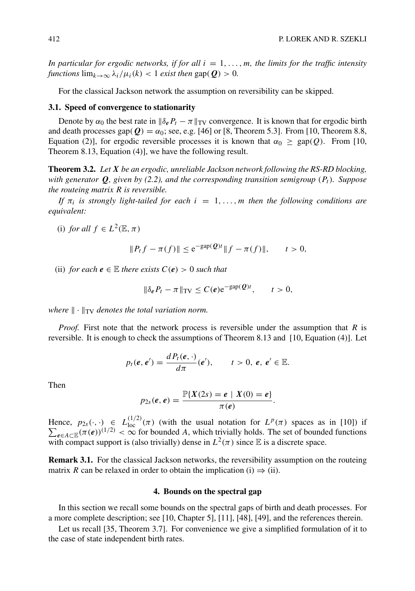*In particular for ergodic networks, if for all*  $i = 1, \ldots, m$ *, the limits for the traffic intensity functions*  $\lim_{k\to\infty} \lambda_i/\mu_i(k) < 1$  *exist then* gap( $Q$ ) > 0*.* 

For the classical Jackson network the assumption on reversibility can be skipped.

#### **3.1. Speed of convergence to stationarity**

Denote by  $\alpha_0$  the best rate in  $\|\delta_e P_t - \pi\|_{TV}$  convergence. It is known that for ergodic birth and death processes gap( $\boldsymbol{Q}$ ) =  $\alpha_0$ ; see, e.g. [46] or [8, Theorem 5.3]. From [10, Theorem 8.8, Equation (2)], for ergodic reversible processes it is known that  $\alpha_0 \ge \text{gap}(Q)$ . From [10, Theorem 8.13, Equation (4)], we have the following result.

**Theorem 3.2.** *Let X be an ergodic, unreliable Jackson network following the RS-RD blocking, with generator*  $Q$ *, given by (2.2), and the corresponding transition semigroup*  $(P_t)$ *. Suppose the routeing matrix* R *is reversible.*

*If*  $\pi_i$  *is strongly light-tailed for each*  $i = 1, \ldots, m$  *then the following conditions are equivalent:*

(i) *for all*  $f \in L^2(\mathbb{E}, \pi)$ 

$$
||P_t f - \pi(f)|| \le e^{-\text{gap}(\mathcal{Q})t} ||f - \pi(f)||, \quad t > 0,
$$

(ii) *for each*  $e \in \mathbb{E}$  *there exists*  $C(e) > 0$  *such that* 

$$
\|\delta_{\boldsymbol{e}} P_t - \pi\|_{\mathrm{TV}} \le C(\boldsymbol{e}) e^{-\mathrm{gap}(\boldsymbol{Q})t}, \qquad t > 0,
$$

*where*  $\|\cdot\|_{TV}$  *denotes the total variation norm.* 

*Proof.* First note that the network process is reversible under the assumption that R is reversible. It is enough to check the assumptions of Theorem 8.13 and [10, Equation (4)]. Let

$$
p_t(\mathbf{e},\mathbf{e}')=\frac{d P_t(\mathbf{e},\cdot)}{d\pi}(\mathbf{e}'),\qquad t>0,\ \mathbf{e},\ \mathbf{e}'\in\mathbb{E}.
$$

Then

$$
p_{2s}(e,e)=\frac{\mathbb{P}\{X(2s)=e\mid X(0)=e\}}{\pi(e)}.
$$

Hence,  $p_{2s}(\cdot, \cdot) \in L^{(1/2)}_{loc}(\pi)$  (with the usual notation for  $L^p$  $\sum$  $(\pi)$  spaces as in [10]) if  $e \in A \subset \mathbb{E}(\pi(e))^{(1/2)} < \infty$  for bounded A, which trivially holds. The set of bounded functions with compact support is (also trivially) dense in  $L^2(\pi)$  since E is a discrete space.

**Remark 3.1.** For the classical Jackson networks, the reversibility assumption on the routeing matrix R can be relaxed in order to obtain the implication (i)  $\Rightarrow$  (ii).

## **4. Bounds on the spectral gap**

In this section we recall some bounds on the spectral gaps of birth and death processes. For a more complete description; see [10, Chapter 5], [11], [48], [49], and the references therein.

Let us recall [35, Theorem 3.7]. For convenience we give a simplified formulation of it to the case of state independent birth rates.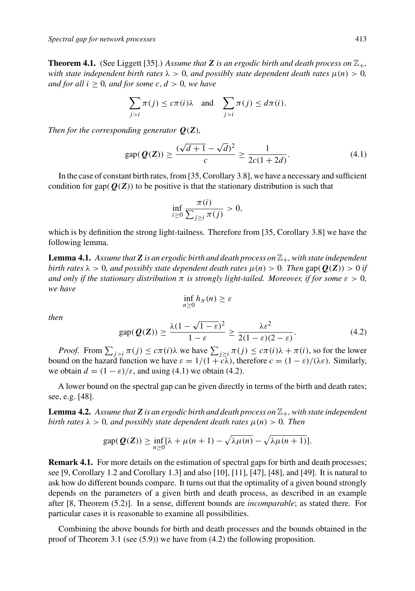**Theorem 4.1.** (See Liggett [35].) Assume that **Z** is an ergodic birth and death process on  $\mathbb{Z}_+$ , *with state independent birth rates*  $\lambda > 0$ , *and possibly state dependent death rates*  $\mu(n) > 0$ , *and for all*  $i \geq 0$ *, and for some c, d > 0, we have* 

$$
\sum_{j>i} \pi(j) \le c\pi(i)\lambda \quad \text{and} \quad \sum_{j>i} \pi(j) \le d\pi(i).
$$

*Then for the corresponding generator Q*(*Z*)*,*

$$
gap(Q(Z)) \ge \frac{(\sqrt{d+1} - \sqrt{d})^2}{c} \ge \frac{1}{2c(1+2d)}.
$$
 (4.1)

In the case of constant birth rates, from [35, Corollary 3.8], we have a necessary and sufficient condition for gap( $Q(Z)$ ) to be positive is that the stationary distribution is such that

$$
\inf_{i\geq 0} \frac{\pi(i)}{\sum_{j\geq i} \pi(j)} > 0,
$$

which is by definition the strong light-tailness. Therefore from [35, Corollary 3.8] we have the following lemma.

**Lemma 4.1.** Assume that **Z** is an ergodic birth and death process on  $\mathbb{Z}_+$ , with state independent *birth rates*  $\lambda > 0$ *, and possibly state dependent death rates*  $\mu(n) > 0$ *. Then* gap( $Q(Z)$ ) > 0 *if and only if the stationary distribution*  $\pi$  *is strongly light-tailed. Moreover, if for some*  $\varepsilon > 0$ , *we have*

$$
\inf_{n\geq 0} h_{\pi}(n)\geq \varepsilon
$$

*then*

$$
\text{gap}(\mathbf{Q}(\mathbf{Z})) \ge \frac{\lambda(1 - \sqrt{1 - \varepsilon})^2}{1 - \varepsilon} \ge \frac{\lambda \varepsilon^2}{2(1 - \varepsilon)(2 - \varepsilon)}.\tag{4.2}
$$

*Proof.* From  $\sum_{j>i} \pi(j) \leq c\pi(i)\lambda$  we have  $\sum_{j\geq i} \pi(j) \leq c\pi(i)\lambda + \pi(i)$ , so for the lower bound on the hazard function we have  $\varepsilon = 1/(1 + c\lambda)$ , therefore  $c = (1 - \varepsilon)/(\lambda \varepsilon)$ . Similarly, we obtain  $d = (1 - \varepsilon)/\varepsilon$ , and using (4.1) we obtain (4.2).

A lower bound on the spectral gap can be given directly in terms of the birth and death rates; see, e.g. [48].

**Lemma 4.2.** Assume that **Z** is an ergodic birth and death process on  $\mathbb{Z}_+$ , with state independent *birth rates*  $\lambda > 0$ *, and possibly state dependent death rates*  $\mu(n) > 0$ *. Then* 

$$
\text{gap}(\mathbf{Q}(\mathbf{Z})) \ge \inf_{n \ge 0} [\lambda + \mu(n+1) - \sqrt{\lambda \mu(n)} - \sqrt{\lambda \mu(n+1)}].
$$

**Remark 4.1.** For more details on the estimation of spectral gaps for birth and death processes; see [9, Corollary 1.2 and Corollary 1.3] and also [10], [11], [47], [48], and [49]. It is natural to ask how do different bounds compare. It turns out that the optimality of a given bound strongly depends on the parameters of a given birth and death process, as described in an example after [8, Theorem (5.2)]. In a sense, different bounds are *incomparable*; as stated there. For particular cases it is reasonable to examine all possibilities.

Combining the above bounds for birth and death processes and the bounds obtained in the proof of Theorem 3.1 (see (5.9)) we have from (4.2) the following proposition.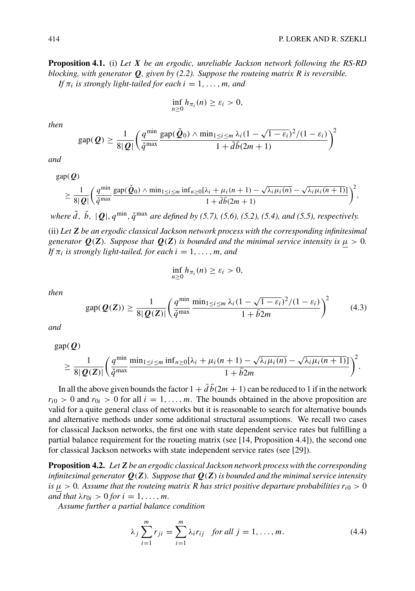**Proposition 4.1.** (i) *Let X be an ergodic, unreliable Jackson network following the RS-RD blocking, with generator Q, given by (2.2). Suppose the routeing matrix* R *is reversible. If*  $\pi_i$  *is strongly light-tailed for each*  $i = 1, \ldots, m$ *, and* 

$$
\inf_{n\geq 0} h_{\pi_i}(n) \geq \varepsilon_i > 0,
$$

*then*

$$
\text{gap}(\mathbf{Q}) \ge \frac{1}{8|\mathbf{Q}|} \left( \frac{q^{\min}}{\check{q}^{\max}} \frac{\text{gap}(\check{\mathbf{Q}}_0) \wedge \min_{1 \le i \le m} \lambda_i (1 - \sqrt{1 - \varepsilon_i})^2 / (1 - \varepsilon_i)}{1 + \bar{d}\bar{b}(2m + 1)} \right)^2
$$

*and*

 $gap(Q)$ 

$$
\geq \frac{1}{8|\mathbf{Q}|} \bigg( \frac{q^{\min} \sum_{i=1}^{\infty} \sum_{j=1}^{\infty} \frac{\sinh_{1} \leq i \leq m}{n^{\min} \leq n} \cdot \frac{\sinh_{n}}{1 + \overline{d} \overline{b} (2m + 1)} - \sqrt{\lambda_{i} \mu_{i} (n - \sqrt{\lambda_{i} \mu_{i} (n + 1)}} \bigg)^{2},
$$

*where*  $\bar{d}$ ,  $\bar{b}$ ,  $|Q|$ ,  $q^{\min}$ ,  $\ddot{q}^{\max}$  *are defined by (5.7), (5.6), (5.2), (5.4), and (5.5), respectively.* 

(ii) *Let Z be an ergodic classical Jackson network process with the corresponding infinitesimal generator*  $Q(Z)$ *. Suppose that*  $Q(Z)$  *is bounded and the minimal service intensity is*  $\mu > 0$ *. If*  $\pi_i$  *is strongly light-tailed, for each*  $i = 1, \ldots, m$ *, and* 

$$
\inf_{n\geq 0} h_{\pi_i}(n) \geq \varepsilon_i > 0,
$$

*then*

$$
\operatorname{gap}(\boldsymbol{Q}(\boldsymbol{Z})) \ge \frac{1}{8|\boldsymbol{Q}(\boldsymbol{Z})|} \left(\frac{q^{\min} \min_{1 \le i \le m} \lambda_i (1 - \sqrt{1 - \varepsilon_i})^2 / (1 - \varepsilon_i)}{1 + \overline{b} 2m}\right)^2 \tag{4.3}
$$

*and*

 $gap(**Q**)$ 

$$
\geq \frac{1}{8|\mathbf{Q}(\mathbf{Z})|} \bigg(\frac{q^{\min}}{\check{q}^{\max}} \frac{\min_{1 \leq i \leq m} \inf_{n \geq 0} [\lambda_i + \mu_i(n+1) - \sqrt{\lambda_i \mu_i(n)} - \sqrt{\lambda_i \mu_i(n+1)}]}{1 + \bar{b}2m}\bigg)^2.
$$

In all the above given bounds the factor  $1 + \overline{d} \overline{b} (2m + 1)$  can be reduced to 1 if in the network  $r_{i0} > 0$  and  $r_{0i} > 0$  for all  $i = 1, \ldots, m$ . The bounds obtained in the above proposition are valid for a quite general class of networks but it is reasonable to search for alternative bounds and alternative methods under some additional structural assumptions. We recall two cases for classical Jackson networks, the first one with state dependent service rates but fulfilling a partial balance requirement for the roueting matrix (see [14, Proposition 4.4]), the second one for classical Jackson networks with state independent service rates (see [29]).

**Proposition 4.2.** *LetZ be an ergodic classical Jackson network process with the corresponding infinitesimal generator Q*(*Z*)*. Suppose that Q*(*Z*)*is bounded and the minimal service intensity is*  $\mu > 0$ . Assume that the routeing matrix R has strict positive departure probabilities  $r_{i0} > 0$ *and that*  $\lambda r_{0i} > 0$  *for*  $i = 1, \ldots, m$ *.* 

*Assume further a partial balance condition*

$$
\lambda_j \sum_{i=1}^{m} r_{ji} = \sum_{i=1}^{m} \lambda_i r_{ij} \text{ for all } j = 1, ..., m.
$$
 (4.4)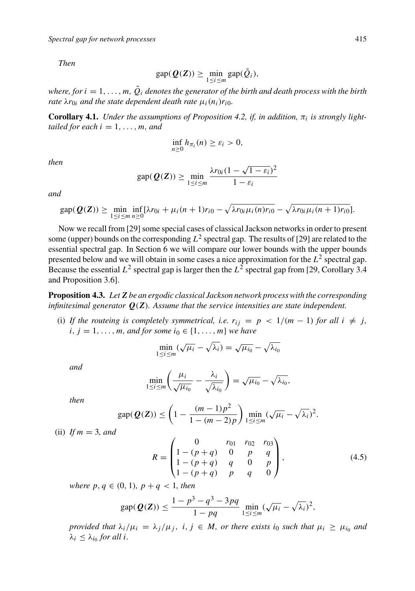*Then*

$$
\text{gap}(\boldsymbol{Q}(\boldsymbol{Z})) \geq \min_{1 \leq i \leq m} \text{gap}(\tilde{Q}_i),
$$

*where, for*  $i = 1, \ldots, m$ ,  $\tilde{Q}_i$  *denotes the generator of the birth and death process with the birth rate*  $\lambda r_{0i}$  *and the state dependent death rate*  $\mu_i(n_i)r_{i0}$ *.* 

**Corollary 4.1.** *Under the assumptions of Proposition 4.2, if, in addition,*  $\pi_i$  *is strongly lighttailed for each*  $i = 1, \ldots, m$ *, and* 

$$
\inf_{n\geq 0} h_{\pi_i}(n) \geq \varepsilon_i > 0,
$$

*then*

$$
\text{gap}(\mathbf{Q}(\mathbf{Z})) \ge \min_{1 \le i \le m} \frac{\lambda r_{0i} (1 - \sqrt{1 - \varepsilon_i})^2}{1 - \varepsilon_i}
$$

*and*

$$
\text{gap}(\mathbf{Q}(\mathbf{Z})) \geq \min_{1 \leq i \leq m} \inf_{n \geq 0} \left[ \lambda r_{0i} + \mu_i (n+1) r_{i0} - \sqrt{\lambda r_{0i} \mu_i (n) r_{i0}} - \sqrt{\lambda r_{0i} \mu_i (n+1) r_{i0}} \right].
$$

Now we recall from [29] some special cases of classical Jackson networks in order to present some (upper) bounds on the corresponding  $L^2$  spectral gap. The results of [29] are related to the essential spectral gap. In Section 6 we will compare our lower bounds with the upper bounds presented below and we will obtain in some cases a nice approximation for the  $L^2$  spectral gap. Because the essential  $L^2$  spectral gap is larger then the  $L^2$  spectral gap from [29, Corollary 3.4 and Proposition 3.6].

**Proposition 4.3.** *LetZ be an ergodic classical Jackson network process with the corresponding infinitesimal generator Q*(*Z*)*. Assume that the service intensities are state independent.*

(i) If the routeing is completely symmetrical, i.e.  $r_{ij} = p < 1/(m-1)$  for all  $i \neq j$ , *i*, *j* = 1, ..., *m*, *and for some i*<sup>0</sup> ∈ {1, ..., *m*} *we have* 

$$
\min_{1 \le i \le m} (\sqrt{\mu_i} - \sqrt{\lambda_i}) = \sqrt{\mu_{i_0}} - \sqrt{\lambda_{i_0}}
$$

*and*

$$
\min_{1 \leq i \leq m} \left( \frac{\mu_i}{\sqrt{\mu_{i_0}}} - \frac{\lambda_i}{\sqrt{\lambda_{i_0}}} \right) = \sqrt{\mu_{i_0}} - \sqrt{\lambda_{i_0}},
$$

*then*

$$
\operatorname{gap}(\mathbf{Q}(\mathbf{Z})) \leq \left(1 - \frac{(m-1)p^2}{1 - (m-2)p}\right) \min_{1 \leq i \leq m} (\sqrt{\mu_i} - \sqrt{\lambda_i})^2.
$$

(ii) *If* m = 3*, and*

$$
R = \begin{pmatrix} 0 & r_{01} & r_{02} & r_{03} \\ 1 - (p+q) & 0 & p & q \\ 1 - (p+q) & q & 0 & p \\ 1 - (p+q) & p & q & 0 \end{pmatrix},
$$
(4.5)

*where*  $p, q \in (0, 1), p + q < 1$ *, then* 

$$
\text{gap}(\mathbf{Q}(\mathbf{Z})) \le \frac{1 - p^3 - q^3 - 3pq}{1 - pq} \min_{1 \le i \le m} (\sqrt{\mu_i} - \sqrt{\lambda_i})^2,
$$

*provided that*  $\lambda_i/\mu_i = \lambda_j/\mu_j$ ,  $i, j \in M$ , *or there exists*  $i_0$  *such that*  $\mu_i \geq \mu_{i_0}$  *and*  $\lambda_i \leq \lambda_{i_0}$  *for all i.*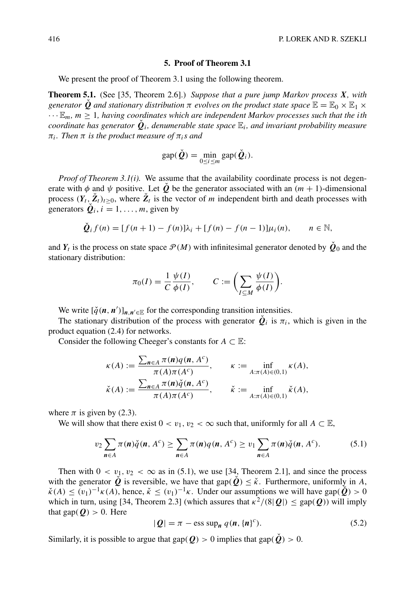### **5. Proof of Theorem 3.1**

We present the proof of Theorem 3.1 using the following theorem.

**Theorem 5.1.** (See [35, Theorem 2.6].) *Suppose that a pure jump Markov process X, with generator* **Q** and stationary distribution  $\pi$  *evolves on the product state space*  $\mathbb{E} = \mathbb{E}_0 \times \mathbb{E}_1 \times$  $\cdots \mathbb{E}_m$ ,  $m \geq 1$ , having coordinates which are independent Markov processes such that the ith *coordinate has generator*  $\dot{Q}_i$ *, denumerable state space*  $\mathbb{E}_i$ *, and invariant probability measure* πi*. Then* π *is the product measure of* πi*s and*

$$
\text{gap}(\check{\mathbf{Q}}) = \min_{0 \le i \le m} \text{gap}(\check{\mathbf{Q}}_i).
$$

*Proof of Theorem 3.1(i).* We assume that the availability coordinate process is not degenerate with  $\phi$  and  $\psi$  positive. Let  $\check{\varrho}$  be the generator associated with an  $(m + 1)$ -dimensional process  $(Y_t, \check{Z}_t)_{t>0}$ , where  $\check{Z}_t$  is the vector of m independent birth and death processes with generators  $\dot{Q}_i$ ,  $i = 1, \ldots, m$ , given by

$$
\check{Q}_i f(n) = [f(n+1) - f(n)]\lambda_i + [f(n) - f(n-1)]\mu_i(n), \qquad n \in \mathbb{N},
$$

and  $Y_t$  is the process on state space  $\mathcal{P}(M)$  with infinitesimal generator denoted by  $\dot{Q}_0$  and the stationary distribution:

$$
\pi_0(I) = \frac{1}{C} \frac{\psi(I)}{\phi(I)}, \qquad C := \left(\sum_{I \subseteq M} \frac{\psi(I)}{\phi(I)}\right).
$$

We write  $[\check{q}(n, n')]_{n, n' \in \mathbb{E}}$  for the corresponding transition intensities.

The stationary distribution of the process with generator  $\dot{Q}_i$  is  $\pi_i$ , which is given in the product equation (2.4) for networks.

Consider the following Cheeger's constants for  $A \subset \mathbb{E}$ :

$$
\kappa(A) := \frac{\sum_{n \in A} \pi(n)q(n, A^c)}{\pi(A)\pi(A^c)}, \qquad \kappa := \inf_{A: \pi(A) \in (0,1)} \kappa(A),
$$

$$
\check{\kappa}(A) := \frac{\sum_{n \in A} \pi(n)\check{q}(n, A^c)}{\pi(A)\pi(A^c)}, \qquad \check{\kappa} := \inf_{A: \pi(A) \in (0,1)} \check{\kappa}(A),
$$

where  $\pi$  is given by (2.3).

We will show that there exist  $0 < v_1, v_2 < \infty$  such that, uniformly for all  $A \subset \mathbb{E}$ ,

$$
\upsilon_2 \sum_{n \in A} \pi(n) \check{q}(n, A^c) \ge \sum_{n \in A} \pi(n) q(n, A^c) \ge \upsilon_1 \sum_{n \in A} \pi(n) \check{q}(n, A^c). \tag{5.1}
$$

Then with  $0 < v_1, v_2 < \infty$  as in (5.1), we use [34, Theorem 2.1], and since the process with the generator  $\check{Q}$  is reversible, we have that gap( $\check{Q}$ )  $\leq \check{\kappa}$ . Furthermore, uniformly in A,  $\check{\kappa}(A) \leq (v_1)^{-1} \kappa(A)$ , hence,  $\check{\kappa} \leq (v_1)^{-1} \kappa$ . Under our assumptions we will have gap( $\check{Q}$ ) > 0 which in turn, using [34, Theorem 2.3] (which assures that  $\kappa^2/(8|Q|) \leq \text{gap}(Q)$ ) will imply that gap( $Q$ ) > 0. Here

$$
|\mathbf{Q}| = \pi - \text{ess sup}_{n} q(n, \{n\}^{c}).
$$
\n(5.2)

Similarly, it is possible to argue that gap( $Q$ ) > 0 implies that gap( $\check{Q}$ ) > 0.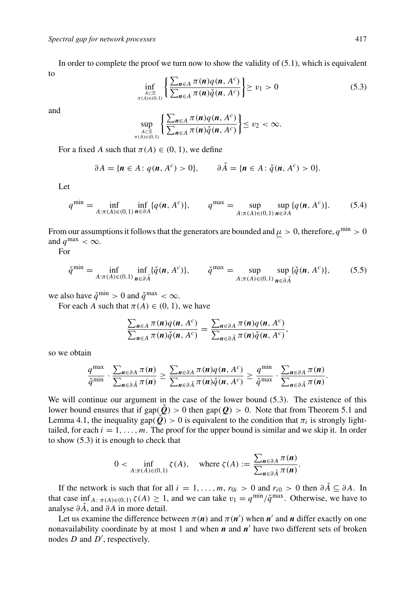In order to complete the proof we turn now to show the validity of  $(5.1)$ , which is equivalent to

$$
\inf_{\substack{A \subset \mathbb{E} \\ \pi(A) \in (0,1)}} \left\{ \frac{\sum_{n \in A} \pi(n) q(n, A^c)}{\sum_{n \in A} \pi(n) \check{q}(n, A^c)} \right\} \ge v_1 > 0 \tag{5.3}
$$

and

$$
\sup_{A\subset\mathbb{E}\atop \pi(A)\in(0,1)}\left\{\frac{\sum_{n\in A}\pi(n)q(n,A^c)}{\sum_{n\in A}\pi(n)\check{q}(n,A^c)}\right\}\leq v_2<\infty.
$$

For a fixed A such that  $\pi(A) \in (0, 1)$ , we define

$$
\partial A = \{n \in A : q(n, A^c) > 0\}, \qquad \partial \check{A} = \{n \in A : \check{q}(n, A^c) > 0\}.
$$

Let

$$
q^{\min} = \inf_{A:\pi(A)\in(0,1)} \inf_{\mathbf{n}\in\partial A} \{q(\mathbf{n}, A^c)\}, \qquad q^{\max} = \sup_{A:\pi(A)\in(0,1)} \sup_{\mathbf{n}\in\partial A} \{q(\mathbf{n}, A^c)\}.
$$
 (5.4)

From our assumptions it follows that the generators are bounded and  $\mu > 0$ , therefore,  $q^{\min} > 0$ and  $q^{\text{max}} < \infty$ .

For

$$
\check{q}^{\min} = \inf_{A:\pi(A)\in(0,1)} \inf_{\mathbf{n}\in\partial\check{A}} \{\check{q}(\mathbf{n},A^c)\}, \qquad \check{q}^{\max} = \sup_{A:\pi(A)\in(0,1)} \sup_{\mathbf{n}\in\partial\check{A}} \{\check{q}(\mathbf{n},A^c)\},
$$
(5.5)

we also have  $\check{q}^{\min} > 0$  and  $\check{q}^{\max} < \infty$ .

For each A such that  $\pi(A) \in (0, 1)$ , we have

$$
\frac{\sum_{n\in A}\pi(n)q(n, A^c)}{\sum_{n\in A}\pi(n)\check{q}(n, A^c)} = \frac{\sum_{n\in \partial A}\pi(n)q(n, A^c)}{\sum_{n\in \partial \check{A}}\pi(n)\check{q}(n, A^c)},
$$

so we obtain

$$
\frac{q^{\max}}{\check{q}^{\min}} \cdot \frac{\sum_{n \in \partial A} \pi(n)}{\sum_{n \in \partial \check{A}} \pi(n)} \ge \frac{\sum_{n \in \partial A} \pi(n) q(n, A^c)}{\sum_{n \in \partial \check{A}} \pi(n) \check{q}(n, A^c)} \ge \frac{q^{\min}}{\check{q}^{\max}} \cdot \frac{\sum_{n \in \partial A} \pi(n)}{\sum_{n \in \partial \check{A}} \pi(n)}
$$

We will continue our argument in the case of the lower bound (5.3). The existence of this lower bound ensures that if  $\text{gap}(\hat{\mathbf{Q}}) > 0$  then  $\text{gap}(\hat{\mathbf{Q}}) > 0$ . Note that from Theorem 5.1 and Lemma 4.1, the inequality gap( $\dot{Q}$ ) > 0 is equivalent to the condition that  $\pi_i$  is strongly lighttailed, for each  $i = 1, \ldots, m$ . The proof for the upper bound is similar and we skip it. In order to show (5.3) it is enough to check that

$$
0 < \inf_{A: \pi(A) \in (0,1)} \zeta(A), \quad \text{where } \zeta(A) := \frac{\sum_{n \in \partial A} \pi(n)}{\sum_{n \in \partial \check{A}} \pi(n)}.
$$

If the network is such that for all  $i = 1, \ldots, m$ ,  $r_{0i} > 0$  and  $r_{i0} > 0$  then  $\partial \check{A} \subseteq \partial A$ . In that case inf<sub>A:  $\pi(A) \in (0,1)$   $\zeta(A) \geq 1$ , and we can take  $v_1 = q^{\min}/\check{q}^{\max}$ . Otherwise, we have to</sub> analyse  $\partial \check{A}$ , and  $\partial A$  in more detail.

Let us examine the difference between  $\pi(n)$  and  $\pi(n')$  when  $n'$  and  $n$  differ exactly on one nonavailability coordinate by at most 1 and when *n* and *n'* have two different sets of broken nodes  $D$  and  $D'$ , respectively.

.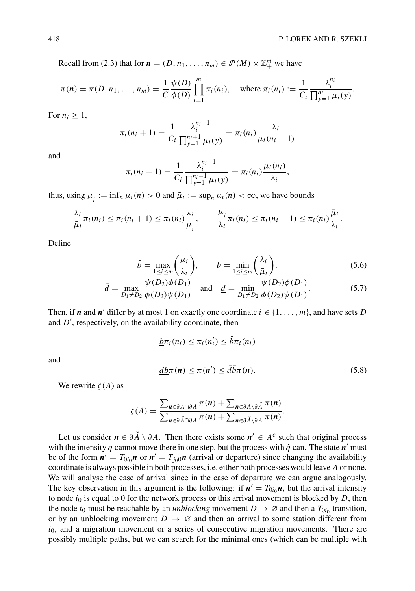Recall from (2.3) that for  $\mathbf{n} = (D, n_1, \dots, n_m) \in \mathcal{P}(M) \times \mathbb{Z}_+^m$  we have

$$
\pi(\mathbf{n}) = \pi(D, n_1, \dots, n_m) = \frac{1}{C} \frac{\psi(D)}{\phi(D)} \prod_{i=1}^m \pi_i(n_i), \quad \text{where } \pi_i(n_i) := \frac{1}{C_i} \frac{\lambda_i^{n_i}}{\prod_{y=1}^{n_i} \mu_i(y)}.
$$

For  $n_i \geq 1$ ,

$$
\pi_i(n_i + 1) = \frac{1}{C_i} \frac{\lambda_i^{n_i+1}}{\prod_{y=1}^{n_i+1} \mu_i(y)} = \pi_i(n_i) \frac{\lambda_i}{\mu_i(n_i+1)}
$$

and

$$
\pi_i(n_i-1) = \frac{1}{C_i} \frac{\lambda_i^{n_i-1}}{\prod_{y=1}^{n_i-1} \mu_i(y)} = \pi_i(n_i) \frac{\mu_i(n_i)}{\lambda_i},
$$

thus, using  $\mu_i := \inf_n \mu_i(n) > 0$  and  $\bar{\mu}_i := \sup_n \mu_i(n) < \infty$ , we have bounds

$$
\frac{\lambda_i}{\bar{\mu}_i}\pi_i(n_i)\leq \pi_i(n_i+1)\leq \pi_i(n_i)\frac{\lambda_i}{\underline{\mu}_i},\qquad \frac{\underline{\mu}_i}{\lambda_i}\pi_i(n_i)\leq \pi_i(n_i-1)\leq \pi_i(n_i)\frac{\bar{\mu}_i}{\lambda_i}.
$$

Define

and

$$
\bar{b} = \max_{1 \le i \le m} \left( \frac{\bar{\mu}_i}{\lambda_i} \right), \qquad \underline{b} = \min_{1 \le i \le m} \left( \frac{\lambda_i}{\bar{\mu}_i} \right), \tag{5.6}
$$

$$
\bar{d} = \max_{D_1 \neq D_2} \frac{\psi(D_2)\phi(D_1)}{\phi(D_2)\psi(D_1)} \quad \text{and} \quad \underline{d} = \min_{D_1 \neq D_2} \frac{\psi(D_2)\phi(D_1)}{\phi(D_2)\psi(D_1)}.
$$
 (5.7)

Then, if *n* and *n'* differ by at most 1 on exactly one coordinate  $i \in \{1, \ldots, m\}$ , and have sets D and  $D'$ , respectively, on the availability coordinate, then

$$
\underline{b}\pi_i(n_i) \leq \pi_i(n'_i) \leq \bar{b}\pi_i(n_i)
$$
  

$$
\underline{db}\pi(\mathbf{n}) \leq \pi(\mathbf{n}') \leq \bar{d}\bar{b}\pi(\mathbf{n}).
$$
 (5.8)

We rewrite  $\zeta(A)$  as

$$
\zeta(A) = \frac{\sum_{n \in \partial A \cap \partial \check{A}} \pi(n) + \sum_{n \in \partial A \setminus \partial \check{A}} \pi(n)}{\sum_{n \in \partial \check{A} \cap \partial A} \pi(n) + \sum_{n \in \partial \check{A} \setminus \partial A} \pi(n)}.
$$

Let us consider  $n \in \partial A \setminus \partial A$ . Then there exists some  $n' \in A^c$  such that original process with the intensity q cannot move there in one step, but the process with  $\check{q}$  can. The state  $n'$  must be of the form  $n' = T_{0i_0}n$  or  $n' = T_{i_00}n$  (arrival or departure) since changing the availability coordinate is always possible in both processes, i.e. either both processes would leave A or none. We will analyse the case of arrival since in the case of departure we can argue analogously. The key observation in this argument is the following: if  $n' = T_{0i_0}n$ , but the arrival intensity to node  $i_0$  is equal to 0 for the network process or this arrival movement is blocked by  $D$ , then the node i<sub>0</sub> must be reachable by an *unblocking* movement  $D \to \emptyset$  and then a  $T_{0i_0}$  transition, or by an unblocking movement  $D \to \emptyset$  and then an arrival to some station different from  $i<sub>0</sub>$ , and a migration movement or a series of consecutive migration movements. There are possibly multiple paths, but we can search for the minimal ones (which can be multiple with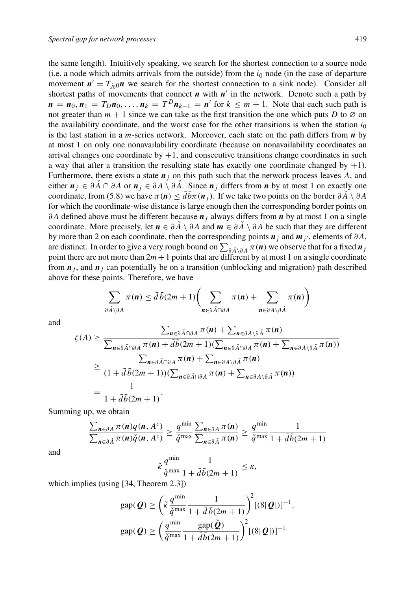the same length). Intuitively speaking, we search for the shortest connection to a source node (i.e. a node which admits arrivals from the outside) from the  $i_0$  node (in the case of departure movement  $n' = T_{i0}0n$  we search for the shortest connection to a sink node). Consider all shortest paths of movements that connect  $n$  with  $n'$  in the network. Denote such a path by  $\mathbf{n} = \mathbf{n}_0, \mathbf{n}_1 = T_D \mathbf{n}_0, \ldots, \mathbf{n}_k = T^D \mathbf{n}_{k-1} = \mathbf{n}'$  for  $k \leq m+1$ . Note that each such path is not greater than  $m + 1$  since we can take as the first transition the one which puts D to  $\varnothing$  on the availability coordinate, and the worst case for the other transitions is when the station  $i_0$ is the last station in a m-series network. Moreover, each state on the path differs from *n* by at most 1 on only one nonavailability coordinate (because on nonavailability coordinates an arrival changes one coordinate by  $+1$ , and consecutive transitions change coordinates in such a way that after a transition the resulting state has exactly one coordinate changed by  $+1$ ). Furthermore, there exists a state  $n<sub>j</sub>$  on this path such that the network process leaves A, and either  $n_j \text{ ∈ } ∂A \cap ∂A$  or  $n_j \text{ ∈ } ∂A \setminus ∂A$ . Since  $n_j$  differs from *n* by at most 1 on exactly one coordinate, from (5.8) we have  $\pi(n) \leq db\pi(n_i)$ . If we take two points on the border  $\partial \overrightarrow{A} \setminus \partial A$ for which the coordinate-wise distance is large enough then the corresponding border points on ∂A defined above must be different because  $n_j$  always differs from *n* by at most 1 on a single coordinate. More precisely, let  $n \in \partial A \setminus \partial A$  and  $m \in \partial A \setminus \partial A$  be such that they are different by more than 2 on each coordinate, then the corresponding points  $\boldsymbol{n}_i$  and  $\boldsymbol{m}_{i'}$ , elements of  $\partial A$ , are distinct. In order to give a very rough bound on  $\sum_{\partial\breve A\setminus\partial A}\pi(\bm{n})$  we observe that for a fixed  $\bm{n}_j$ point there are not more than  $2m+1$  points that are different by at most 1 on a single coordinate from  $\mathbf{n}_i$ , and  $\mathbf{n}_j$  can potentially be on a transition (unblocking and migration) path described above for these points. Therefore, we have

$$
\sum_{\partial \breve{A} \setminus \partial A} \pi(\mathbf{n}) \leq \bar{d} \bar{b} (2m+1) \bigg( \sum_{\mathbf{n} \in \partial \breve{A} \cap \partial A} \pi(\mathbf{n}) + \sum_{\mathbf{n} \in \partial A \setminus \partial \breve{A}} \pi(\mathbf{n}) \bigg)
$$

and

$$
\zeta(A) \geq \frac{\sum_{n \in \partial \tilde{A} \cap \partial A} \pi(n) + \sum_{n \in \partial A \setminus \partial \tilde{A}} \pi(n)}{\sum_{n \in \partial \tilde{A} \cap \partial A} \pi(n) + \bar{d}\bar{b}(2m+1)(\sum_{n \in \partial \tilde{A} \cap \partial A} \pi(n) + \sum_{n \in \partial A \setminus \partial \tilde{A}} \pi(n))}
$$
\n
$$
\geq \frac{\sum_{n \in \partial \tilde{A} \cap \partial A} \pi(n) + \sum_{n \in \partial A \setminus \partial \tilde{A}} \pi(n)}{(1 + \bar{d}\bar{b}(2m+1))(\sum_{n \in \partial \tilde{A} \cap \partial A} \pi(n) + \sum_{n \in \partial A \setminus \partial \tilde{A}} \pi(n))}
$$
\n
$$
= \frac{1}{1 + \bar{d}\bar{b}(2m+1)}.
$$

Summing up, we obtain

$$
\frac{\sum_{n\in\partial A}\pi(n)q(n, A^c)}{\sum_{n\in\partial\check{A}}\pi(n)\check{q}(n, A^c)} \ge \frac{q^{\min}}{\check{q}^{\max}} \frac{\sum_{n\in\partial A}\pi(n)}{\sum_{n\in\partial\check{A}}\pi(n)} \ge \frac{q^{\min}}{\check{q}^{\max}} \frac{1}{1 + \bar{d}\bar{b}(2m + 1)}
$$

and

$$
\check{\kappa} \frac{q^{\min}}{\check{q}^{\max}} \frac{1}{1 + \bar{d}\bar{b}(2m+1)} \leq \kappa,
$$

which implies (using [34, Theorem 2.3])

$$
\text{gap}(\mathbf{Q}) \ge \left(\check{\kappa} \frac{q^{\min}}{\check{q}^{\max}} \frac{1}{1 + \bar{d}\,\bar{b}(2m+1)}\right)^2 \left[(8|\mathbf{Q}|)\right]^{-1},
$$

$$
\text{gap}(\mathbf{Q}) \ge \left(\frac{q^{\min}}{\check{q}^{\max}} \frac{\text{gap}(\check{\mathbf{Q}})}{1 + \bar{d}\,\bar{b}(2m+1)}\right)^2 \left[(8|\mathbf{Q}|)\right]^{-1}
$$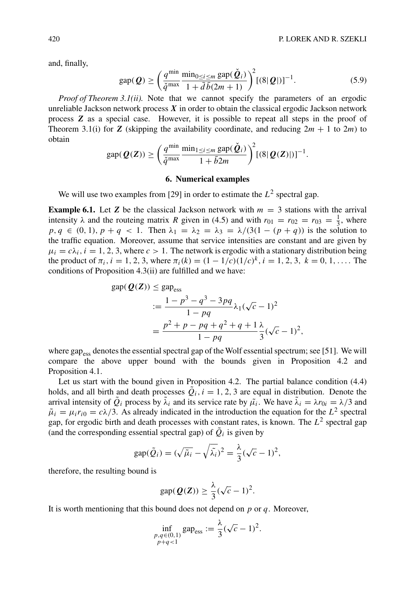and, finally,

$$
\text{gap}(\mathbf{Q}) \ge \left(\frac{q^{\min}\min_{0 \le i \le m} \text{gap}(\check{\mathbf{Q}}_i)}{1 + \bar{d}\,\bar{b}(2m + 1)}\right)^2 [(8|\mathbf{Q}|)]^{-1}.\tag{5.9}
$$

*Proof of Theorem 3.1(ii).* Note that we cannot specify the parameters of an ergodic unreliable Jackson network process *X* in order to obtain the classical ergodic Jackson network process *Z* as a special case. However, it is possible to repeat all steps in the proof of Theorem 3.1(i) for *Z* (skipping the availability coordinate, and reducing  $2m + 1$  to  $2m$ ) to obtain

$$
\text{gap}(\boldsymbol{Q}(\boldsymbol{Z})) \geq \left(\frac{q^{\min} \min_{1 \leq i \leq m} \text{gap}(\check{\boldsymbol{Q}}_i)}{1 + \bar{b}2m}\right)^2 \left[\left(8|\boldsymbol{Q}(\boldsymbol{Z})|\right)\right]^{-1}.
$$

## **6. Numerical examples**

We will use two examples from [29] in order to estimate the  $L^2$  spectral gap.

**Example 6.1.** Let **Z** be the classical Jackson network with  $m = 3$  stations with the arrival intensity  $\lambda$  and the routeing matrix R given in (4.5) and with  $r_{01} = r_{02} = r_{03} = \frac{1}{3}$ , where  $p, q \in (0, 1), p + q < 1$ . Then  $\lambda_1 = \lambda_2 = \lambda_3 = \lambda/(3(1 - (p + q))$  is the solution to the traffic equation. Moreover, assume that service intensities are constant and are given by  $\mu_i = c\lambda_i$ ,  $i = 1, 2, 3$ , where  $c > 1$ . The network is ergodic with a stationary distribution being the product of  $\pi_i$ ,  $i = 1, 2, 3$ , where  $\pi_i(k) = (1 - 1/c)(1/c)^k$ ,  $i = 1, 2, 3, k = 0, 1, \ldots$ . The conditions of Proposition 4.3(ii) are fulfilled and we have:

$$
gap(Q(Z)) \leq gap_{ess}
$$
  

$$
:= \frac{1 - p^3 - q^3 - 3pq}{1 - pq} \lambda_1(\sqrt{c} - 1)^2
$$

$$
= \frac{p^2 + p - pq + q^2 + q + 1}{1 - pq} \frac{\lambda}{3} (\sqrt{c} - 1)^2,
$$

where gap<sub>ess</sub> denotes the essential spectral gap of the Wolf essential spectrum; see [51]. We will compare the above upper bound with the bounds given in Proposition 4.2 and Proposition 4.1.

Let us start with the bound given in Proposition 4.2. The partial balance condition (4.4) holds, and all birth and death processes  $\tilde{Q}_i$ ,  $i = 1, 2, 3$  are equal in distribution. Denote the arrival intensity of  $\tilde{Q}_i$  process by  $\tilde{\lambda}_i$  and its service rate by  $\tilde{\mu}_i$ . We have  $\tilde{\lambda}_i = \lambda r_{0i} = \lambda/3$  and  $\tilde{\mu}_i = \mu_i r_{i0} = c\lambda/3$ . As already indicated in the introduction the equation for the  $L^2$  spectral gap, for ergodic birth and death processes with constant rates, is known. The  $L^2$  spectral gap (and the corresponding essential spectral gap) of  $\tilde{Q}_i$  is given by

$$
\text{gap}(\tilde{Q}_i) = (\sqrt{\tilde{\mu}_i} - \sqrt{\tilde{\lambda}_i})^2 = \frac{\lambda}{3}(\sqrt{c} - 1)^2,
$$

therefore, the resulting bound is

$$
\text{gap}(\mathbf{Q}(\mathbf{Z})) \geq \frac{\lambda}{3}(\sqrt{c}-1)^2.
$$

It is worth mentioning that this bound does not depend on  $p$  or  $q$ . Moreover,

$$
\inf_{\substack{p,q \in (0,1) \\ p+q < 1}} \text{gap}_{\text{ess}} := \frac{\lambda}{3} (\sqrt{c} - 1)^2.
$$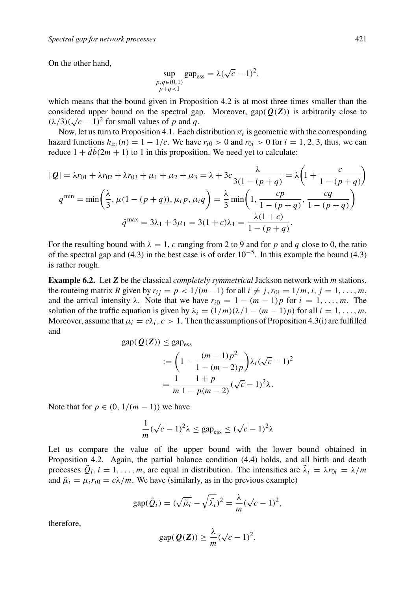On the other hand,

$$
\sup_{\substack{p,q\in(0,1)\\p+q<1}}\text{gap}_{\text{ess}} = \lambda(\sqrt{c}-1)^2,
$$

which means that the bound given in Proposition 4.2 is at most three times smaller than the considered upper bound on the spectral gap. Moreover,  $\text{gap}(\mathbf{Q}(Z))$  is arbitrarily close to  $(\lambda/3)(\sqrt{c}-1)^2$  for small values of p and q.

Now, let us turn to Proposition 4.1. Each distribution  $\pi_i$  is geometric with the corresponding hazard functions  $h_{\pi i}(n) = 1 - 1/c$ . We have  $r_{i0} > 0$  and  $r_{0i} > 0$  for  $i = 1, 2, 3$ , thus, we can reduce  $1 + d\bar{b}(2m + 1)$  to 1 in this proposition. We need yet to calculate:

$$
|\mathbf{Q}| = \lambda r_{01} + \lambda r_{02} + \lambda r_{03} + \mu_1 + \mu_2 + \mu_3 = \lambda + 3c \frac{\lambda}{3(1 - (p + q))} = \lambda \left( 1 + \frac{c}{1 - (p + q)} \right)
$$
  

$$
q^{\min} = \min \left( \frac{\lambda}{3}, \mu (1 - (p + q)), \mu_i p, \mu_i q \right) = \frac{\lambda}{3} \min \left( 1, \frac{cp}{1 - (p + q)}, \frac{cq}{1 - (p + q)} \right)
$$
  

$$
\check{q}^{\max} = 3\lambda_1 + 3\mu_1 = 3(1 + c)\lambda_1 = \frac{\lambda(1 + c)}{1 - (p + q)}.
$$

For the resulting bound with  $\lambda = 1$ , c ranging from 2 to 9 and for p and q close to 0, the ratio of the spectral gap and (4.3) in the best case is of order  $10^{-5}$ . In this example the bound (4.3) is rather rough.

**Example 6.2.** Let *Z* be the classical *completely symmetrical* Jackson network with m stations, the routeing matrix R given by  $r_{ij} = p < 1/(m-1)$  for all  $i \neq j$ ,  $r_{0i} = 1/m$ ,  $i, j = 1, ..., m$ , and the arrival intensity  $\lambda$ . Note that we have  $r_{i0} = 1 - (m - 1)p$  for  $i = 1, \ldots, m$ . The solution of the traffic equation is given by  $\lambda_i = (1/m)(\lambda/1 - (m-1)p)$  for all  $i = 1, \ldots, m$ . Moreover, assume that  $\mu_i = c\lambda_i$ ,  $c > 1$ . Then the assumptions of Proposition 4.3(i) are fulfilled and

$$
\text{gap}(\mathbf{Q}(\mathbf{Z})) \le \text{gap}_{\text{ess}}
$$
  

$$
:= \left(1 - \frac{(m-1)p^2}{1 - (m-2)p}\right) \lambda_i (\sqrt{c} - 1)^2
$$

$$
= \frac{1}{m} \frac{1+p}{1 - p(m-2)} (\sqrt{c} - 1)^2 \lambda.
$$

Note that for  $p \in (0, 1/(m-1))$  we have

$$
\frac{1}{m}(\sqrt{c}-1)^2\lambda \le \text{gap}_{\text{ess}} \le (\sqrt{c}-1)^2\lambda
$$

Let us compare the value of the upper bound with the lower bound obtained in Proposition 4.2. Again, the partial balance condition (4.4) holds, and all birth and death processes  $Q_i$ ,  $i = 1, \ldots, m$ , are equal in distribution. The intensities are  $\lambda_i = \lambda r_{0i} = \lambda/m$ and  $\tilde{\mu}_i = \mu_i r_{i0} = c\lambda/m$ . We have (similarly, as in the previous example)

$$
\text{gap}(\tilde{Q}_i) = (\sqrt{\tilde{\mu}_i} - \sqrt{\tilde{\lambda}_i})^2 = \frac{\lambda}{m}(\sqrt{c} - 1)^2,
$$

therefore,

$$
\text{gap}(\mathbf{Q}(\mathbf{Z})) \geq \frac{\lambda}{m}(\sqrt{c}-1)^2.
$$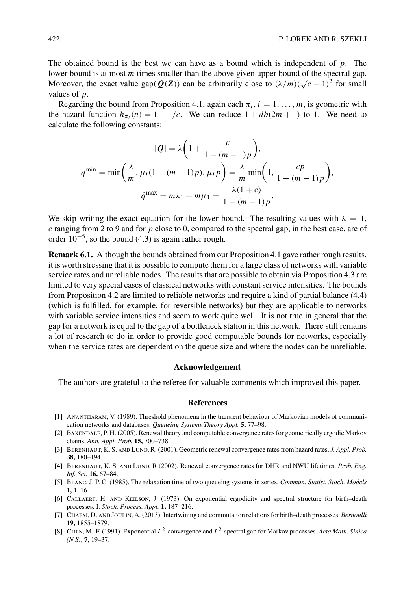The obtained bound is the best we can have as a bound which is independent of  $p$ . The lower bound is at most *m* times smaller than the above given upper bound of the spectral gap. Moreover, the exact value gap( $Q(Z)$ ) can be arbitrarily close to  $(\lambda/m)(\sqrt{c}-1)^2$  for small values of p.

Regarding the bound from Proposition 4.1, again each  $\pi_i$ ,  $i = 1, \ldots, m$ , is geometric with the hazard function  $h_{\pi i}(n) = 1 - 1/c$ . We can reduce  $1 + d\bar{b}(2m + 1)$  to 1. We need to calculate the following constants:

$$
|Q| = \lambda \left(1 + \frac{c}{1 - (m - 1)p}\right),
$$
  

$$
q^{\min} = \min \left(\frac{\lambda}{m}, \mu_i (1 - (m - 1)p), \mu_i p\right) = \frac{\lambda}{m} \min \left(1, \frac{cp}{1 - (m - 1)p}\right),
$$
  

$$
\check{q}^{\max} = m\lambda_1 + m\mu_1 = \frac{\lambda(1 + c)}{1 - (m - 1)p}.
$$

We skip writing the exact equation for the lower bound. The resulting values with  $\lambda = 1$ ,  $c$  ranging from 2 to 9 and for  $p$  close to 0, compared to the spectral gap, in the best case, are of order  $10^{-5}$ , so the bound (4.3) is again rather rough.

**Remark 6.1.** Although the bounds obtained from our Proposition 4.1 gave rather rough results, it is worth stressing that it is possible to compute them for a large class of networks with variable service rates and unreliable nodes. The results that are possible to obtain via Proposition 4.3 are limited to very special cases of classical networks with constant service intensities. The bounds from Proposition 4.2 are limited to reliable networks and require a kind of partial balance (4.4) (which is fulfilled, for example, for reversible networks) but they are applicable to networks with variable service intensities and seem to work quite well. It is not true in general that the gap for a network is equal to the gap of a bottleneck station in this network. There still remains a lot of research to do in order to provide good computable bounds for networks, especially when the service rates are dependent on the queue size and where the nodes can be unreliable.

#### **Acknowledgement**

The authors are grateful to the referee for valuable comments which improved this paper.

### **References**

- [1] Anantharam, V. (1989). Threshold phenomena in the transient behaviour of Markovian models of communication networks and databases. *Queueing Systems Theory Appl.* **5,** 77–98.
- [2] Baxendale, P. H. (2005). Renewal theory and computable convergence rates for geometrically ergodic Markov chains. *Ann. Appl. Prob.* **15,** 700–738.
- [3] BERENHAUT, K. S. AND LUND, R. (2001). Geometric renewal convergence rates from hazard rates. *J. Appl. Prob.* **38,** 180–194.
- [4] Berenhaut, K. S. and Lund, R (2002). Renewal convergence rates for DHR and NWU lifetimes. *Prob. Eng. Inf. Sci.* **16,** 67–84.
- [5] Blanc, J. P. C. (1985). The relaxation time of two queueing systems in series. *Commun. Statist. Stoch. Models* **1,** 1–16.
- [6] Callaert, H. and Keilson, J. (1973). On exponential ergodicity and spectral structure for birth–death processes. I. *Stoch. Process. Appl.* **1,** 187–216.
- [7] Chafai, D. and Joulin, A. (2013). Intertwining and commutation relations for birth–death processes. *Bernoulli* **19,** 1855–1879.
- [8] Chen, M.-F. (1991). Exponential L2-convergence and L2-spectral gap for Markov processes. *Acta Math. Sinica (N.S.)* **7,** 19–37.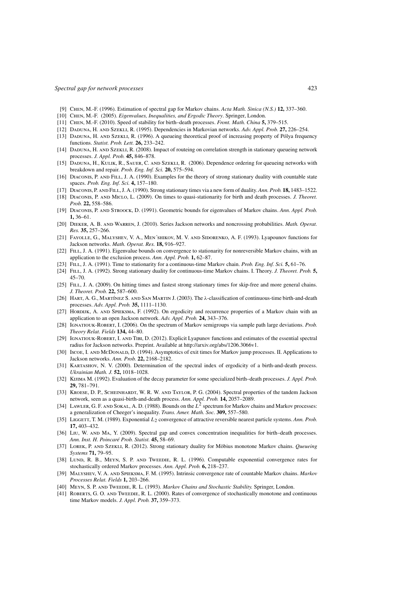- [9] Chen, M.-F. (1996). Estimation of spectral gap for Markov chains. *Acta Math. Sinica (N.S.)* **12,** 337–360.
- [10] Chen, M.-F. (2005). *Eigenvalues, Inequalities, and Ergodic Theory*. Springer, London.
- [11] Chen, M.-F. (2010). Speed of stability for birth–death processes. *Front. Math. China* **5,** 379–515.
- [12] Daduna, H. and Szekli, R. (1995). Dependencies in Markovian networks. *Adv. Appl. Prob.* **27,** 226–254.
- [13] Daduna, H. and Szekli, R. (1996). A queueing theoretical proof of increasing property of Pólya frequency functions. *Statist. Prob. Lett.* **26,** 233–242.
- [14] Daduna, H. and Szekli, R. (2008). Impact of routeing on correlation strength in stationary queueing network processes. *J. Appl. Prob.* **45,** 846–878.
- [15] Daduna, H., Kulik, R., Sauer, C. and Szekli, R. (2006). Dependence ordering for queueing networks with breakdown and repair. *Prob. Eng. Inf. Sci.* **20,** 575–594.
- [16] Diaconis, P. and Fill, J. A. (1990). Examples for the theory of strong stationary duality with countable state spaces. *Prob. Eng. Inf. Sci.* **4,** 157–180.
- [17] Diaconis, P. and Fill, J. A. (1990). Strong stationary times via a new form of duality.*Ann. Prob.* **18,** 1483–1522.
- [18] Diaconis, P. and Miclo, L. (2009). On times to quasi-stationarity for birth and death processes. *J. Theoret. Prob.* **22,** 558–586.
- [19] Diaconis, P. and Stroock, D. (1991). Geometric bounds for eigenvalues of Markov chains. *Ann. Appl. Prob.* **1,** 36–61.
- [20] DIEKER, A. B. AND WARREN, J. (2010). Series Jackson networks and noncrossing probabilities. *Math. Operat. Res.* **35,** 257–266.
- [21] Fayolle, G., Malyshev, V. A., Men´shikov, M. V. and Sidorenko, A. F. (1993). Lyapounov functions for Jackson networks. *Math. Operat. Res.* **18,** 916–927.
- [22] FILL, J. A. (1991). Eigenvalue bounds on convergence to stationarity for nonreversible Markov chains, with an application to the exclusion process. *Ann. Appl. Prob.* **1,** 62–87.
- [23] Fill, J. A. (1991). Time to stationarity for a continuous-time Markov chain. *Prob. Eng. Inf. Sci.* **5,** 61–76.
- [24] Fill, J. A. (1992). Strong stationary duality for continuous-time Markov chains. I. Theory. *J. Theoret. Prob.* **5,** 45–70.
- [25] FILL, J. A. (2009). On hitting times and fastest strong stationary times for skip-free and more general chains. *J. Theoret. Prob.* **22,** 587–600.
- [26] Hart, A. G., Martínez S. and San Martin J. (2003). The λ-classification of continuous-time birth-and-death processes. *Adv. Appl. Prob.* **35,** 1111–1130.
- [27] Hording, A. and Spieksma, F. (1992). On ergodicity and recurrence properties of a Markov chain with an application to an open Jackson network. *Adv. Appl. Prob.* **24,** 343–376.
- [28] Ignatiouk-Robert, I. (2006). On the spectrum of Markov semigroups via sample path large deviations. *Prob. Theory Relat. Fields* **134,** 44–80.
- [29] Ignatiouk-Robert, I. and Tibi, D. (2012). Explicit Lyapunov functions and estimates of the essential spectral radius for Jackson networks. Preprint. Available at http://arxiv.org/abs/1206.3066v1.
- [30] Iscoe, I. AND McDoNALD, D. (1994). Asymptotics of exit times for Markov jump processes. II. Applications to Jackson networks. *Ann. Prob.* **22,** 2168–2182.
- [31] KARTASHOV, N. V. (2000). Determination of the spectral index of ergodicity of a birth-and-death process. *Ukrainian Math. J.* **52,** 1018–1028.
- [32] Kijima M. (1992). Evaluation of the decay parameter for some specialized birth–death processes. *J. Appl. Prob.* **29,** 781–791.
- [33] KROESE, D. P., SCHEINHARDT, W. R. W. AND TAYLOR, P. G. (2004). Spectral properties of the tandem Jackson network, seen as a quasi-birth-and-death process. *Ann. Appl. Prob.* **14,** 2057–2089.
- [34] LAWLER, G. F. AND SOKAL, A. D. (1988). Bounds on the  $L^2$  spectrum for Markov chains and Markov processes: a generalization of Cheeger's inequality. *Trans. Amer. Math. Soc.* **309,** 557–580.
- [35] LIGGETT, T. M. (1989). Exponential L<sub>2</sub> convergence of attractive reversible nearest particle systems. *Ann. Prob.* **17,** 403–432.
- [36] Liu, W. AND MA, Y. (2009). Spectral gap and convex concentration inequalities for birth–death processes. *Ann. Inst. H. Poincaré Prob. Statist.* **45,** 58–69.
- [37] Lorek, P. and Szekli, R. (2012). Strong stationary duality for Möbius monotone Markov chains. *Queueing Systems* **71,** 79–95.
- [38] LUND, R. B., MEYN, S. P. AND TWEEDIE, R. L. (1996). Computable exponential convergence rates for stochastically ordered Markov processes. *Ann. Appl. Prob.* **6,** 218–237.
- [39] Malyshev, V. A. and Spieksma, F. M. (1995). Intrinsic convergence rate of countable Markov chains. *Markov Processes Relat. Fields* **1,** 203–266.
- [40] Meyn, S. P. and Tweedie, R. L. (1993). *Markov Chains and Stochastic Stability.* Springer, London.
- [41] ROBERTS, G. O. AND TWEEDIE, R. L. (2000). Rates of convergence of stochastically monotone and continuous time Markov models. *J. Appl. Prob.* **37,** 359–373.